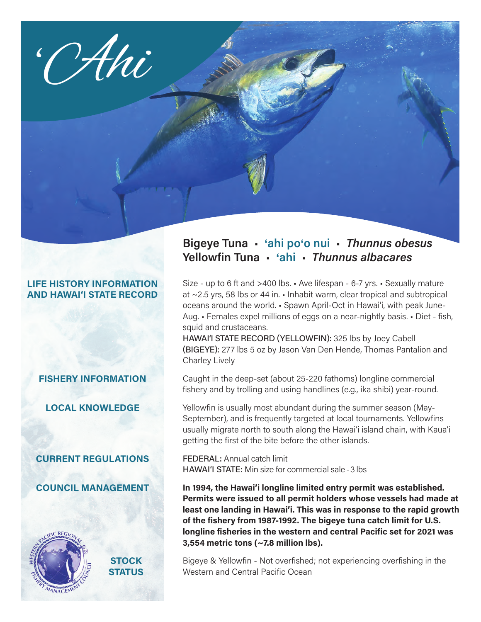

### **LIFE HISTORY INFORMATION AND HAWAI'I STATE RECORD**

**FISHERY INFORMATION**

**LOCAL KNOWLEDGE**

**CURRENT REGULATIONS**

**COUNCIL MANAGEMENT**



**STOCK STATUS**

# **Bigeye Tuna** • '**ahi po**'**o nui** • *Thunnus obesus* **Yellowfin Tuna** • '**ahi** • *Thunnus albacares*

Size - up to 6 ft and >400 lbs. • Ave lifespan - 6-7 yrs. • Sexually mature at ~2.5 yrs, 58 lbs or 44 in. • Inhabit warm, clear tropical and subtropical oceans around the world. • Spawn April-Oct in Hawai'i, with peak June-Aug. • Females expel millions of eggs on a near-nightly basis. • Diet - fish, squid and crustaceans.

HAWAI'I STATE RECORD (YELLOWFIN): 325 lbs by Joey Cabell (BIGEYE): 277 lbs 5 oz by Jason Van Den Hende, Thomas Pantalion and Charley Lively

Caught in the deep-set (about 25-220 fathoms) longline commercial fishery and by trolling and using handlines (e.g., ika shibi) year-round.

Yellowfin is usually most abundant during the summer season (May-September), and is frequently targeted at local tournaments. Yellowfins usually migrate north to south along the Hawai'i island chain, with Kaua'i getting the first of the bite before the other islands.

FEDERAL: Annual catch limit HAWAI'I STATE: Min size for commercial sale - 3 lbs

**In 1994, the Hawai'i longline limited entry permit was established. Permits were issued to all permit holders whose vessels had made at least one landing in Hawai'i. This was in response to the rapid growth of the fishery from 1987-1992. The bigeye tuna catch limit for U.S. longline fisheries in the western and central Pacific set for 2021 was 3,554 metric tons (~7.8 million lbs).**

Bigeye & Yellowfin - Not overfished; not experiencing overfishing in the Western and Central Pacific Ocean